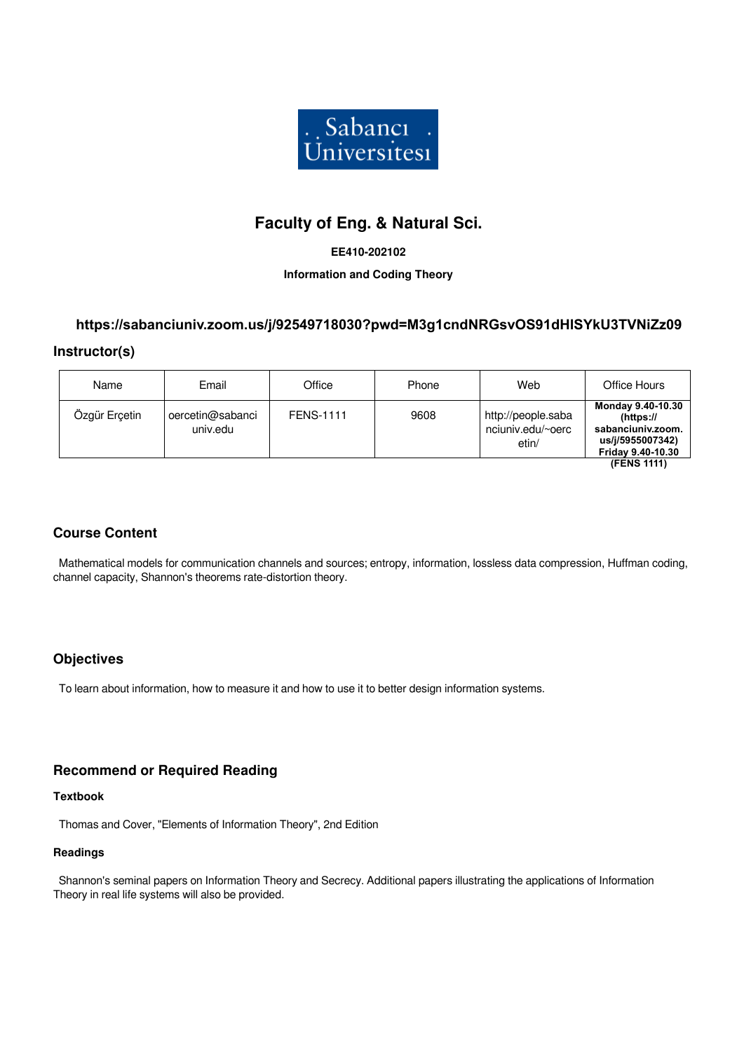

# **Faculty of Eng. & Natural Sci.**

### **EE410-202102**

### **Information and Coding Theory**

# **https://sabanciuniv.zoom.us/j/92549718030?pwd=M3g1cndNRGsvOS91dHlSYkU3TVNiZz09**

### **Instructor(s)**

| Name          | Email                        | Office           | Phone | Web                                              | Office Hours                                                                                    |
|---------------|------------------------------|------------------|-------|--------------------------------------------------|-------------------------------------------------------------------------------------------------|
| Özgür Erçetin | oercetin@sabanci<br>univ.edu | <b>FENS-1111</b> | 9608  | http://people.saba<br>nciuniv.edu/~oerc<br>etin/ | Monday 9.40-10.30<br>$(https://)$<br>sabanciuniv.zoom.<br>us/j/5955007342)<br>Friday 9.40-10.30 |
|               |                              |                  |       |                                                  | (FENS 1111)                                                                                     |

## **Course Content**

 Mathematical models for communication channels and sources; entropy, information, lossless data compression, Huffman coding, channel capacity, Shannon's theorems rate-distortion theory.

## **Objectives**

To learn about information, how to measure it and how to use it to better design information systems.

## **Recommend or Required Reading**

### **Textbook**

Thomas and Cover, "Elements of Information Theory", 2nd Edition

#### **Readings**

 Shannon's seminal papers on Information Theory and Secrecy. Additional papers illustrating the applications of Information Theory in real life systems will also be provided.